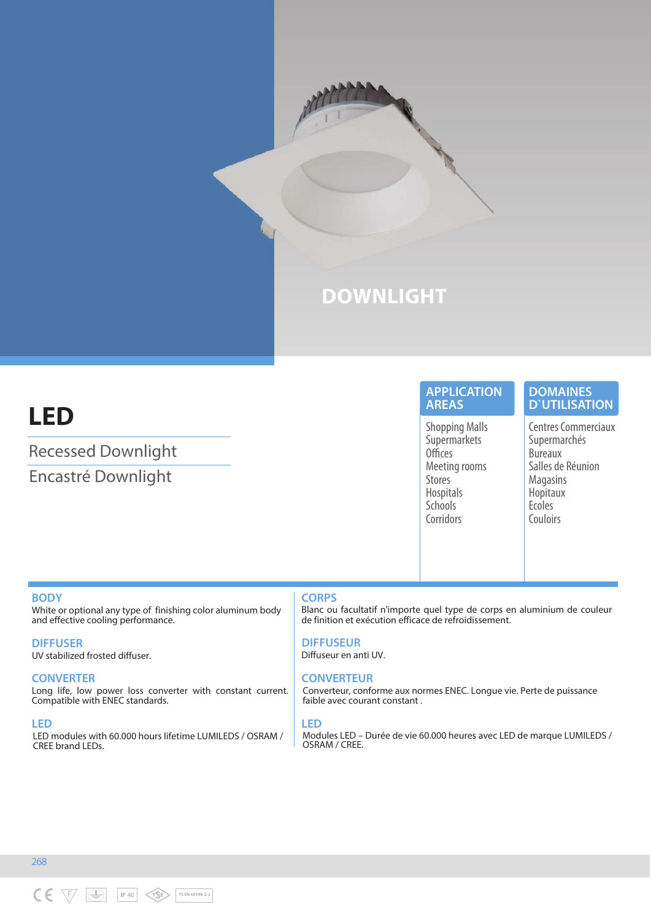

# **LED**

Recessed Downlight Encastré Downlight

# **APPLICATION AREAS**

Shopping Malls **Supermarkets Offices** Meeting rooms Stores Hospitals **Schools Corridors** 

# **DOMAINES D`UTILISATION**

Centres Commerciaux Supermarchés Bureaux Salles de Réunion Magasins Hopitaux Ecoles Couloirs

### **BODY**

White or optional any type of finishing color aluminum body and effective cooling performance.

**DIFFUSER**

UV stabilized frosted diffuser.

# **CONVERTER**

Long life, low power loss converter with constant current. Compatible with ENEC standards.

### **LED**

LED modules with 60.000 hours lifetime LUMILEDS / OSRAM / CREE brand LEDs.

# **CORPS**

Blanc ou facultatif n'importe quel type de corps en aluminium de couleur de finition et exécution efficace de refroidissement.

**DIFFUSEUR** Diffuseur en anti UV.

# **CONVERTEUR**

Converteur, conforme aux normes ENEC. Longue vie. Perte de puissance faible avec courant constant .

### **LED**

Modules LED – Durée de vie 60.000 heures avec LED de marque LUMILEDS / OSRAM / CREE.

268